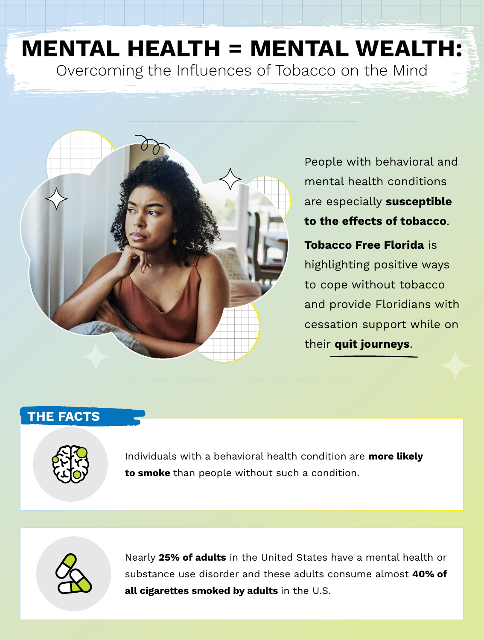## **MENTAL HEALTH = MENTAL WEALTH:** Overcoming the Influences of Tobacco on the Mind



People with behavioral and mental health conditions are especially **susceptible to the effects of tobacco**.

**Tobacco Free Florida** is highlighting positive ways to cope without tobacco and provide Floridians with cessation support while on their **quit journeys**.

## **THE FACTS**



Individuals with a behavioral health condition are **more likely to smoke** than people without such a condition.



Nearly **25% of adults** in the United States have a mental health or substance use disorder and these adults consume almost **40% of all cigarettes smoked by adults** in the U.S.